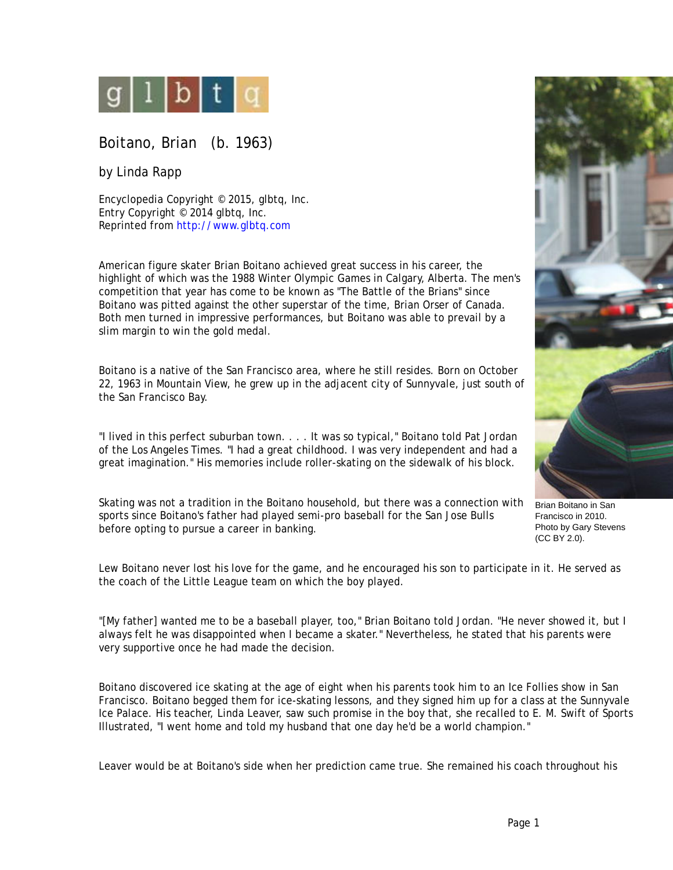

Boitano, Brian (b. 1963)

by Linda Rapp

Encyclopedia Copyright © 2015, glbtq, Inc. Entry Copyright © 2014 glbtq, Inc. Reprinted from<http://www.glbtq.com>

American figure skater Brian Boitano achieved great success in his career, the highlight of which was the 1988 Winter Olympic Games in Calgary, Alberta. The men's competition that year has come to be known as "The Battle of the Brians" since Boitano was pitted against the other superstar of the time, Brian Orser of Canada. Both men turned in impressive performances, but Boitano was able to prevail by a slim margin to win the gold medal.

Boitano is a native of the San Francisco area, where he still resides. Born on October 22, 1963 in Mountain View, he grew up in the adjacent city of Sunnyvale, just south of the San Francisco Bay.

"I lived in this perfect suburban town. . . . It was so typical," Boitano told Pat Jordan of the Los Angeles Times. "I had a great childhood. I was very independent and had a great imagination." His memories include roller-skating on the sidewalk of his block.

Skating was not a tradition in the Boitano household, but there was a connection with sports since Boitano's father had played semi-pro baseball for the San Jose Bulls before opting to pursue a career in banking.

Lew Boitano never lost his love for the game, and he encouraged his son to participate in it. He served as the coach of the Little League team on which the boy played.

"[My father] wanted me to be a baseball player, too," Brian Boitano told Jordan. "He never showed it, but I always felt he was disappointed when I became a skater." Nevertheless, he stated that his parents were very supportive once he had made the decision.

Boitano discovered ice skating at the age of eight when his parents took him to an Ice Follies show in San Francisco. Boitano begged them for ice-skating lessons, and they signed him up for a class at the Sunnyvale Ice Palace. His teacher, Linda Leaver, saw such promise in the boy that, she recalled to E. M. Swift of Sports Illustrated, "I went home and told my husband that one day he'd be a world champion."

Leaver would be at Boitano's side when her prediction came true. She remained his coach throughout his



Brian Boitano in San Francisco in 2010. Photo by Gary Stevens (CC BY 2.0).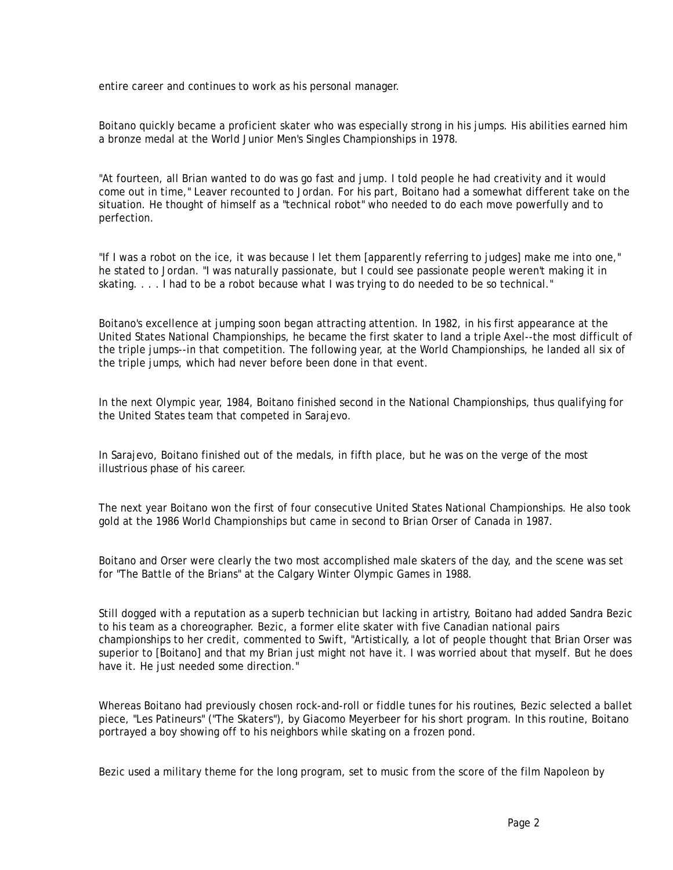entire career and continues to work as his personal manager.

Boitano quickly became a proficient skater who was especially strong in his jumps. His abilities earned him a bronze medal at the World Junior Men's Singles Championships in 1978.

"At fourteen, all Brian wanted to do was go fast and jump. I told people he had creativity and it would come out in time," Leaver recounted to Jordan. For his part, Boitano had a somewhat different take on the situation. He thought of himself as a "technical robot" who needed to do each move powerfully and to perfection.

"If I was a robot on the ice, it was because I let them [apparently referring to judges] make me into one," he stated to Jordan. "I was naturally passionate, but I could see passionate people weren't making it in skating. . . . I had to be a robot because what I was trying to do needed to be so technical."

Boitano's excellence at jumping soon began attracting attention. In 1982, in his first appearance at the United States National Championships, he became the first skater to land a triple Axel--the most difficult of the triple jumps--in that competition. The following year, at the World Championships, he landed all six of the triple jumps, which had never before been done in that event.

In the next Olympic year, 1984, Boitano finished second in the National Championships, thus qualifying for the United States team that competed in Sarajevo.

In Sarajevo, Boitano finished out of the medals, in fifth place, but he was on the verge of the most illustrious phase of his career.

The next year Boitano won the first of four consecutive United States National Championships. He also took gold at the 1986 World Championships but came in second to Brian Orser of Canada in 1987.

Boitano and Orser were clearly the two most accomplished male skaters of the day, and the scene was set for "The Battle of the Brians" at the Calgary Winter Olympic Games in 1988.

Still dogged with a reputation as a superb technician but lacking in artistry, Boitano had added Sandra Bezic to his team as a choreographer. Bezic, a former elite skater with five Canadian national pairs championships to her credit, commented to Swift, "Artistically, a lot of people thought that Brian Orser was superior to [Boitano] and that my Brian just might not have it. I was worried about that myself. But he does have it. He just needed some direction."

Whereas Boitano had previously chosen rock-and-roll or fiddle tunes for his routines, Bezic selected a ballet piece, "Les Patineurs" ("The Skaters"), by Giacomo Meyerbeer for his short program. In this routine, Boitano portrayed a boy showing off to his neighbors while skating on a frozen pond.

Bezic used a military theme for the long program, set to music from the score of the film Napoleon by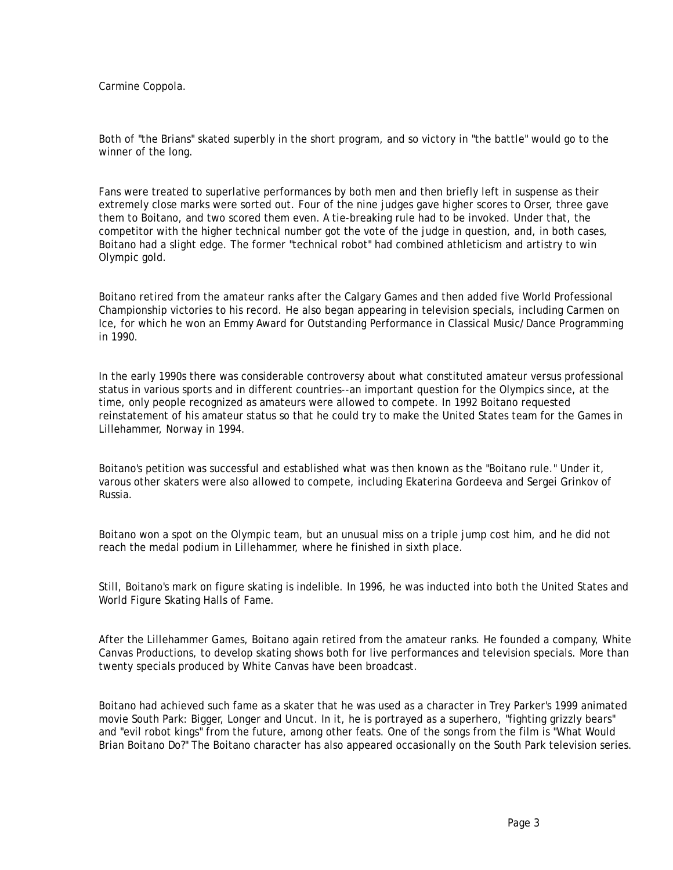Carmine Coppola.

Both of "the Brians" skated superbly in the short program, and so victory in "the battle" would go to the winner of the long.

Fans were treated to superlative performances by both men and then briefly left in suspense as their extremely close marks were sorted out. Four of the nine judges gave higher scores to Orser, three gave them to Boitano, and two scored them even. A tie-breaking rule had to be invoked. Under that, the competitor with the higher technical number got the vote of the judge in question, and, in both cases, Boitano had a slight edge. The former "technical robot" had combined athleticism and artistry to win Olympic gold.

Boitano retired from the amateur ranks after the Calgary Games and then added five World Professional Championship victories to his record. He also began appearing in television specials, including Carmen on Ice, for which he won an Emmy Award for Outstanding Performance in Classical Music/Dance Programming in 1990.

In the early 1990s there was considerable controversy about what constituted amateur versus professional status in various sports and in different countries--an important question for the Olympics since, at the time, only people recognized as amateurs were allowed to compete. In 1992 Boitano requested reinstatement of his amateur status so that he could try to make the United States team for the Games in Lillehammer, Norway in 1994.

Boitano's petition was successful and established what was then known as the "Boitano rule." Under it, varous other skaters were also allowed to compete, including Ekaterina Gordeeva and Sergei Grinkov of Russia.

Boitano won a spot on the Olympic team, but an unusual miss on a triple jump cost him, and he did not reach the medal podium in Lillehammer, where he finished in sixth place.

Still, Boitano's mark on figure skating is indelible. In 1996, he was inducted into both the United States and World Figure Skating Halls of Fame.

After the Lillehammer Games, Boitano again retired from the amateur ranks. He founded a company, White Canvas Productions, to develop skating shows both for live performances and television specials. More than twenty specials produced by White Canvas have been broadcast.

Boitano had achieved such fame as a skater that he was used as a character in Trey Parker's 1999 animated movie South Park: Bigger, Longer and Uncut. In it, he is portrayed as a superhero, "fighting grizzly bears" and "evil robot kings" from the future, among other feats. One of the songs from the film is "What Would Brian Boitano Do?" The Boitano character has also appeared occasionally on the South Park television series.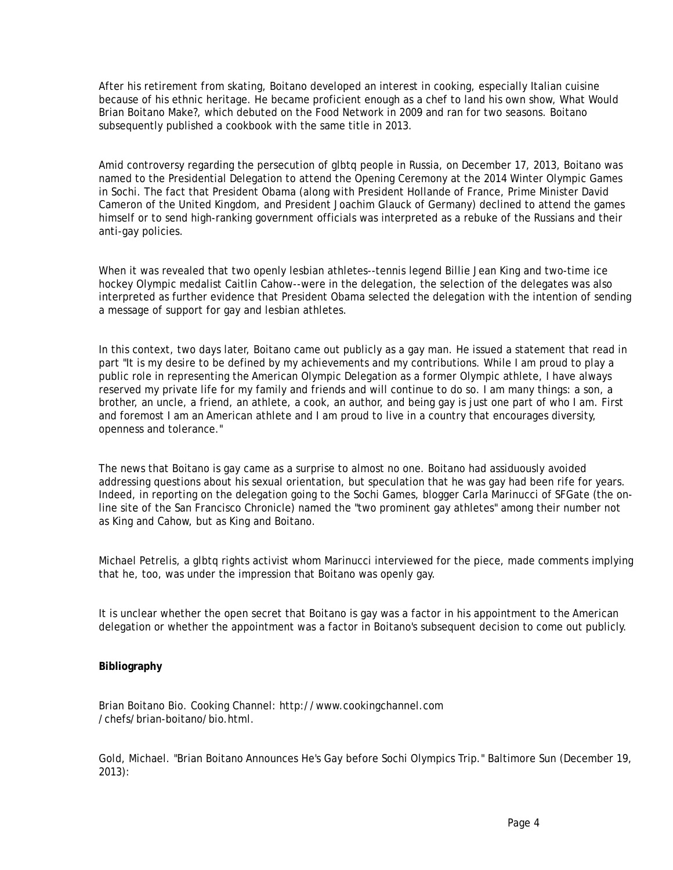After his retirement from skating, Boitano developed an interest in cooking, especially Italian cuisine because of his ethnic heritage. He became proficient enough as a chef to land his own show, What Would Brian Boitano Make?, which debuted on the Food Network in 2009 and ran for two seasons. Boitano subsequently published a cookbook with the same title in 2013.

Amid controversy regarding the persecution of glbtq people in Russia, on December 17, 2013, Boitano was named to the Presidential Delegation to attend the Opening Ceremony at the 2014 Winter Olympic Games in Sochi. The fact that President Obama (along with President Hollande of France, Prime Minister David Cameron of the United Kingdom, and President Joachim Glauck of Germany) declined to attend the games himself or to send high-ranking government officials was interpreted as a rebuke of the Russians and their anti-gay policies.

When it was revealed that two openly lesbian athletes--tennis legend Billie Jean King and two-time ice hockey Olympic medalist Caitlin Cahow--were in the delegation, the selection of the delegates was also interpreted as further evidence that President Obama selected the delegation with the intention of sending a message of support for gay and lesbian athletes.

In this context, two days later, Boitano came out publicly as a gay man. He issued a statement that read in part "It is my desire to be defined by my achievements and my contributions. While I am proud to play a public role in representing the American Olympic Delegation as a former Olympic athlete, I have always reserved my private life for my family and friends and will continue to do so. I am many things: a son, a brother, an uncle, a friend, an athlete, a cook, an author, and being gay is just one part of who I am. First and foremost I am an American athlete and I am proud to live in a country that encourages diversity, openness and tolerance."

The news that Boitano is gay came as a surprise to almost no one. Boitano had assiduously avoided addressing questions about his sexual orientation, but speculation that he was gay had been rife for years. Indeed, in reporting on the delegation going to the Sochi Games, blogger Carla Marinucci of SFGate (the online site of the San Francisco Chronicle) named the "two prominent gay athletes" among their number not as King and Cahow, but as King and Boitano.

Michael Petrelis, a glbtq rights activist whom Marinucci interviewed for the piece, made comments implying that he, too, was under the impression that Boitano was openly gay.

It is unclear whether the open secret that Boitano is gay was a factor in his appointment to the American delegation or whether the appointment was a factor in Boitano's subsequent decision to come out publicly.

## **Bibliography**

Brian Boitano Bio. Cooking Channel: http://www.cookingchannel.com /chefs/brian-boitano/bio.html.

Gold, Michael. "Brian Boitano Announces He's Gay before Sochi Olympics Trip." Baltimore Sun (December 19, 2013):